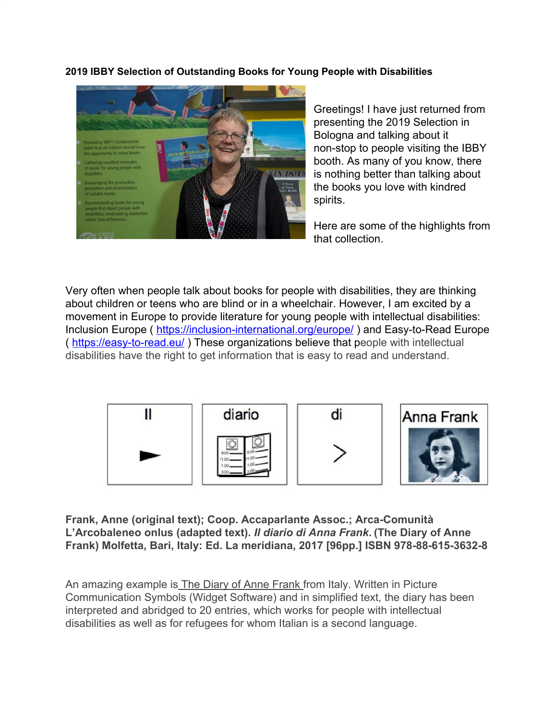## **2019 IBBY Selection of Outstanding Books for Young People with Disabilities**



Greetings! I have just returned from presenting the 2019 Selection in Bologna and talking about it non-stop to people visiting the IBBY booth. As many of you know, there is nothing better than talking about the books you love with kindred spirits.

Here are some of the highlights from that collection.

Very often when people talk about books for people with disabilities, they are thinking about children or teens who are blind or in a wheelchair. However, I am excited by a movement in Europe to provide literature for young people with intellectual disabilities: Inclusion Europe ( <https://inclusion-international.org/europe/>) and Easy-to-Read Europe ( <https://easy-to-read.eu/> ) These organizations believe that people with intellectual disabilities have the right to get information that is easy to read and understand.



**Frank, Anne (original text); Coop. Accaparlante Assoc.; Arca-Comunità L'Arcobaleneo onlus (adapted text).** *Il diario di Anna Frank***. (The Diary of Anne Frank) Molfetta, Bari, Italy: Ed. La meridiana, 2017 [96pp.] ISBN 978-88-615-3632-8**

An amazing example is **The Diary of Anne Frank from Italy.** Written in Picture Communication Symbols (Widget Software) and in simplified text, the diary has been interpreted and abridged to 20 entries, which works for people with intellectual disabilities as well as for refugees for whom Italian is a second language.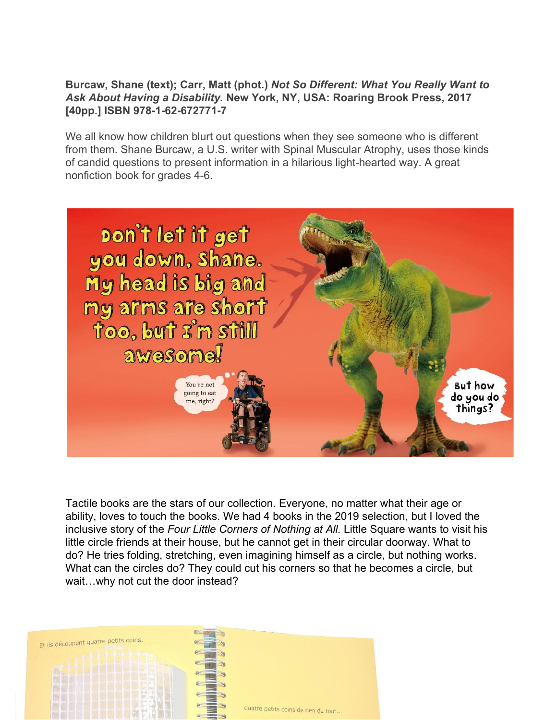## **Burcaw, Shane (text); Carr, Matt (phot.)** *Not So Different: What You Really Want to Ask About Having a Disability.* **New York, NY, USA: Roaring Brook Press, 2017 [40pp.] ISBN 978-1-62-672771-7**

We all know how children blurt out questions when they see someone who is different from them. Shane Burcaw, a U.S. writer with Spinal Muscular Atrophy, uses those kinds of candid questions to present information in a hilarious light-hearted way. A great nonfiction book for grades 4-6.



Tactile books are the stars of our collection. Everyone, no matter what their age or ability, loves to touch the books. We had 4 books in the 2019 selection, but I loved the inclusive story of the *Four Little Corners of Nothing at All.* Little Square wants to visit his little circle friends at their house, but he cannot get in their circular doorway. What to do? He tries folding, stretching, even imagining himself as a circle, but nothing works. What can the circles do? They could cut his corners so that he becomes a circle, but wait…why not cut the door instead?

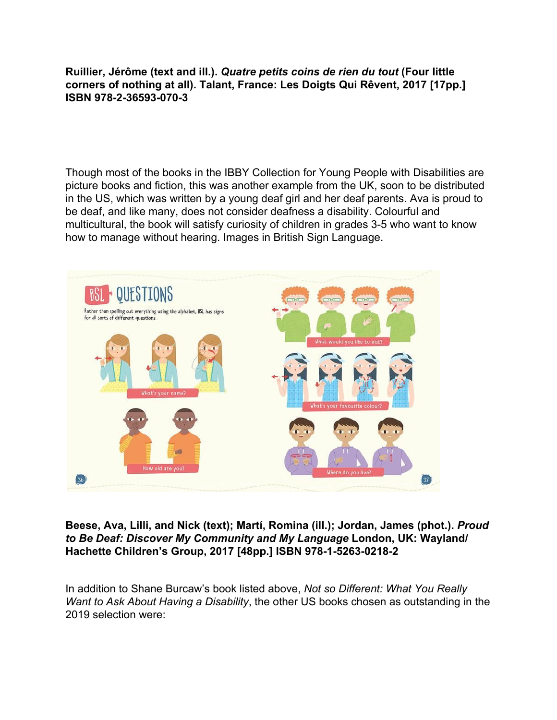**Ruillier, Jérôme (text and ill.).** *Quatre petits coins de rien du tout* **(Four little corners of nothing at all). Talant, France: Les Doigts Qui Rêvent, 2017 [17pp.] ISBN 978-2-36593-070-3**

Though most of the books in the IBBY Collection for Young People with Disabilities are picture books and fiction, this was another example from the UK, soon to be distributed in the US, which was written by a young deaf girl and her deaf parents. Ava is proud to be deaf, and like many, does not consider deafness a disability. Colourful and multicultural, the book will satisfy curiosity of children in grades 3-5 who want to know how to manage without hearing. Images in British Sign Language.



**Beese, Ava, Lilli, and Nick (text); Martí, Romina (ill.); Jordan, James (phot.).** *Proud to Be Deaf: Discover My Community and My Language* **London, UK: Wayland/ Hachette Children's Group, 2017 [48pp.] ISBN 978-1-5263-0218-2**

In addition to Shane Burcaw's book listed above, *Not so Different: What You Really Want to Ask About Having a Disability*, the other US books chosen as outstanding in the 2019 selection were: